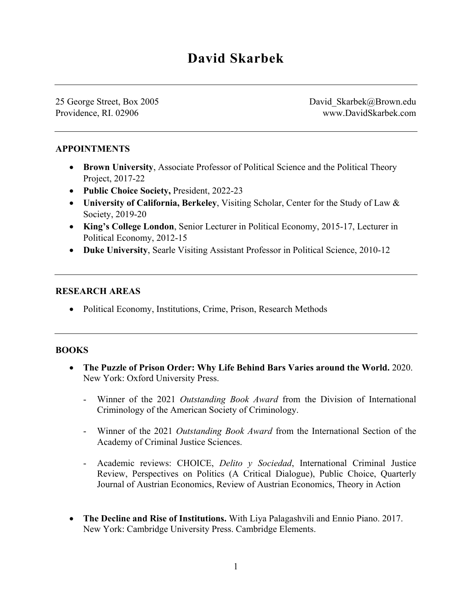25 George Street, Box 2005 Providence, RI. 02906

David Skarbek@Brown.edu www.DavidSkarbek.com

## **APPOINTMENTS**

- **Brown University, Associate Professor of Political Science and the Political Theory** Project, 2017-22
- **Public Choice Society,** President, 2022-23
- **University of California, Berkeley**, Visiting Scholar, Center for the Study of Law & Society, 2019-20
- **King's College London**, Senior Lecturer in Political Economy, 2015-17, Lecturer in Political Economy, 2012-15
- **Duke University**, Searle Visiting Assistant Professor in Political Science, 2010-12

#### **RESEARCH AREAS**

• Political Economy, Institutions, Crime, Prison, Research Methods

## **BOOKS**

- **The Puzzle of Prison Order: Why Life Behind Bars Varies around the World.** 2020. New York: Oxford University Press.
	- Winner of the 2021 *Outstanding Book Award* from the Division of International Criminology of the American Society of Criminology.
	- Winner of the 2021 *Outstanding Book Award* from the International Section of the Academy of Criminal Justice Sciences.
	- Academic reviews: CHOICE, *Delito y Sociedad*, International Criminal Justice Review, Perspectives on Politics (A Critical Dialogue), Public Choice, Quarterly Journal of Austrian Economics, Review of Austrian Economics, Theory in Action
- **The Decline and Rise of Institutions.** With Liya Palagashvili and Ennio Piano. 2017. New York: Cambridge University Press. Cambridge Elements.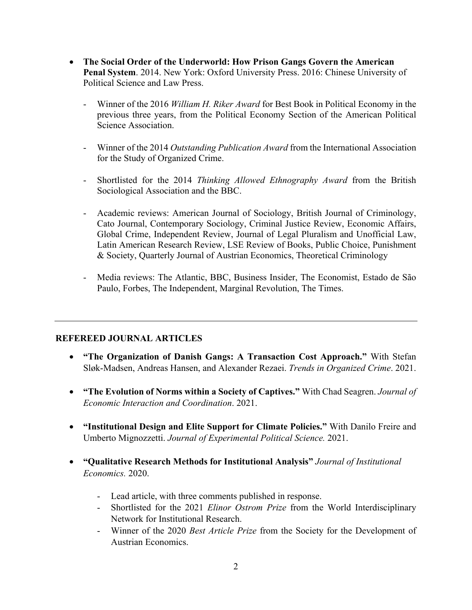- **The Social Order of the Underworld: How Prison Gangs Govern the American Penal System**. 2014. New York: Oxford University Press. 2016: Chinese University of Political Science and Law Press.
	- Winner of the 2016 *William H. Riker Award* for Best Book in Political Economy in the previous three years, from the Political Economy Section of the American Political Science Association.
	- Winner of the 2014 *Outstanding Publication Award* from the International Association for the Study of Organized Crime.
	- Shortlisted for the 2014 *Thinking Allowed Ethnography Award* from the British Sociological Association and the BBC.
	- Academic reviews: American Journal of Sociology, British Journal of Criminology, Cato Journal, Contemporary Sociology, Criminal Justice Review, Economic Affairs, Global Crime, Independent Review, Journal of Legal Pluralism and Unofficial Law, Latin American Research Review, LSE Review of Books, Public Choice, Punishment & Society, Quarterly Journal of Austrian Economics, Theoretical Criminology
	- Media reviews: The Atlantic, BBC, Business Insider, The Economist, Estado de São Paulo, Forbes, The Independent, Marginal Revolution, The Times.

## **REFEREED JOURNAL ARTICLES**

- **"The Organization of Danish Gangs: A Transaction Cost Approach."** With Stefan Sløk-Madsen, Andreas Hansen, and Alexander Rezaei. *Trends in Organized Crime*. 2021.
- **"The Evolution of Norms within a Society of Captives."** With Chad Seagren. *Journal of Economic Interaction and Coordination*. 2021.
- **"Institutional Design and Elite Support for Climate Policies."** With Danilo Freire and Umberto Mignozzetti. *Journal of Experimental Political Science.* 2021.
- **"Qualitative Research Methods for Institutional Analysis"** *Journal of Institutional Economics.* 2020.
	- Lead article, with three comments published in response.
	- Shortlisted for the 2021 *Elinor Ostrom Prize* from the World Interdisciplinary Network for Institutional Research.
	- Winner of the 2020 *Best Article Prize* from the Society for the Development of Austrian Economics.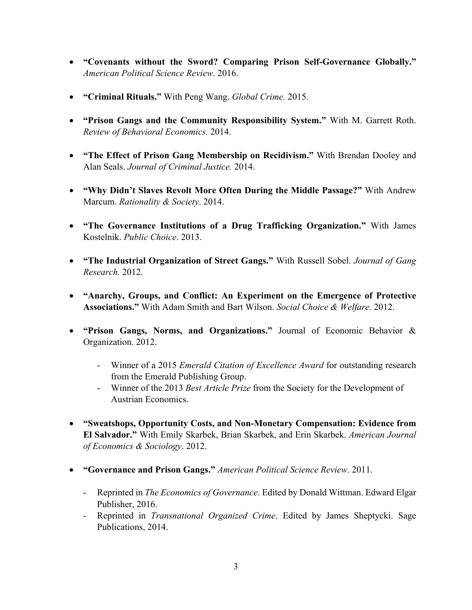- **"Covenants without the Sword? Comparing Prison Self-Governance Globally."** *American Political Science Review*. 2016.
- **"Criminal Rituals."** With Peng Wang. *Global Crime.* 2015.
- **"Prison Gangs and the Community Responsibility System."** With M. Garrett Roth. *Review of Behavioral Economics.* 2014.
- **"The Effect of Prison Gang Membership on Recidivism."** With Brendan Dooley and Alan Seals. *Journal of Criminal Justice.* 2014.
- **"Why Didn't Slaves Revolt More Often During the Middle Passage?"** With Andrew Marcum. *Rationality & Society*. 2014.
- **"The Governance Institutions of a Drug Trafficking Organization."** With James Kostelnik. *Public Choice*. 2013.
- **"The Industrial Organization of Street Gangs."** With Russell Sobel. *Journal of Gang Research.* 2012.
- **"Anarchy, Groups, and Conflict: An Experiment on the Emergence of Protective Associations."** With Adam Smith and Bart Wilson. *Social Choice & Welfare.* 2012.
- **"Prison Gangs, Norms, and Organizations."** Journal of Economic Behavior & Organization. 2012.
	- Winner of a 2015 *Emerald Citation of Excellence Award* for outstanding research from the Emerald Publishing Group.
	- Winner of the 2013 *Best Article Prize* from the Society for the Development of Austrian Economics.
- **"Sweatshops, Opportunity Costs, and Non-Monetary Compensation: Evidence from El Salvador."** With Emily Skarbek, Brian Skarbek, and Erin Skarbek. *American Journal of Economics & Sociology*. 2012.
- **"Governance and Prison Gangs."** *American Political Science Review*. 2011.
	- Reprinted in *The Economics of Governance*. Edited by Donald Wittman. Edward Elgar Publisher, 2016.
	- Reprinted in *Transnational Organized Crime*. Edited by James Sheptycki. Sage Publications, 2014.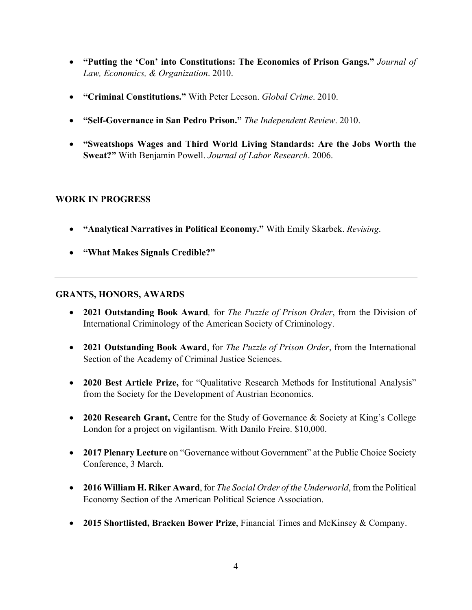- **"Putting the 'Con' into Constitutions: The Economics of Prison Gangs."** *Journal of Law, Economics, & Organization*. 2010.
- **"Criminal Constitutions."** With Peter Leeson. *Global Crime*. 2010.
- **"Self-Governance in San Pedro Prison."** *The Independent Review*. 2010.
- **"Sweatshops Wages and Third World Living Standards: Are the Jobs Worth the Sweat?"** With Benjamin Powell. *Journal of Labor Research*. 2006.

## **WORK IN PROGRESS**

- **"Analytical Narratives in Political Economy."** With Emily Skarbek. *Revising*.
- **"What Makes Signals Credible?"**

## **GRANTS, HONORS, AWARDS**

- **2021 Outstanding Book Award***,* for *The Puzzle of Prison Order*, from the Division of International Criminology of the American Society of Criminology.
- **2021 Outstanding Book Award**, for *The Puzzle of Prison Order*, from the International Section of the Academy of Criminal Justice Sciences.
- **2020 Best Article Prize,** for "Qualitative Research Methods for Institutional Analysis" from the Society for the Development of Austrian Economics.
- **2020 Research Grant,** Centre for the Study of Governance & Society at King's College London for a project on vigilantism. With Danilo Freire. \$10,000.
- **2017 Plenary Lecture** on "Governance without Government" at the Public Choice Society Conference, 3 March.
- **2016 William H. Riker Award**, for *The Social Order of the Underworld*, from the Political Economy Section of the American Political Science Association.
- **2015 Shortlisted, Bracken Bower Prize**, Financial Times and McKinsey & Company.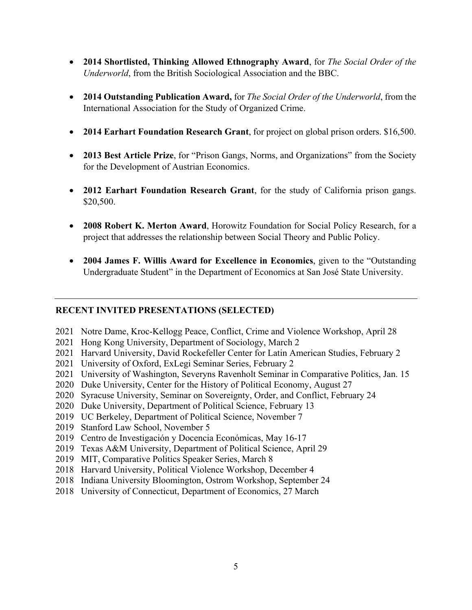- **2014 Shortlisted, Thinking Allowed Ethnography Award**, for *The Social Order of the Underworld*, from the British Sociological Association and the BBC.
- **2014 Outstanding Publication Award,** for *The Social Order of the Underworld*, from the International Association for the Study of Organized Crime.
- **2014 Earhart Foundation Research Grant**, for project on global prison orders. \$16,500.
- **2013 Best Article Prize**, for "Prison Gangs, Norms, and Organizations" from the Society for the Development of Austrian Economics.
- **2012 Earhart Foundation Research Grant**, for the study of California prison gangs. \$20,500.
- **2008 Robert K. Merton Award**, Horowitz Foundation for Social Policy Research, for a project that addresses the relationship between Social Theory and Public Policy.
- **2004 James F. Willis Award for Excellence in Economics**, given to the "Outstanding Undergraduate Student" in the Department of Economics at San José State University.

## **RECENT INVITED PRESENTATIONS (SELECTED)**

- 2021 Notre Dame, Kroc-Kellogg Peace, Conflict, Crime and Violence Workshop, April 28
- 2021 Hong Kong University, Department of Sociology, March 2
- 2021 Harvard University, David Rockefeller Center for Latin American Studies, February 2
- 2021 University of Oxford, ExLegi Seminar Series, February 2
- 2021 University of Washington, Severyns Ravenholt Seminar in Comparative Politics, Jan. 15
- 2020 Duke University, Center for the History of Political Economy, August 27
- 2020 Syracuse University, Seminar on Sovereignty, Order, and Conflict, February 24
- 2020 Duke University, Department of Political Science, February 13
- 2019 UC Berkeley, Department of Political Science, November 7
- 2019 Stanford Law School, November 5
- 2019 Centro de Investigación y Docencia Económicas, May 16-17
- 2019 Texas A&M University, Department of Political Science, April 29
- 2019 MIT, Comparative Politics Speaker Series, March 8
- 2018 Harvard University, Political Violence Workshop, December 4
- 2018 Indiana University Bloomington, Ostrom Workshop, September 24
- 2018 University of Connecticut, Department of Economics, 27 March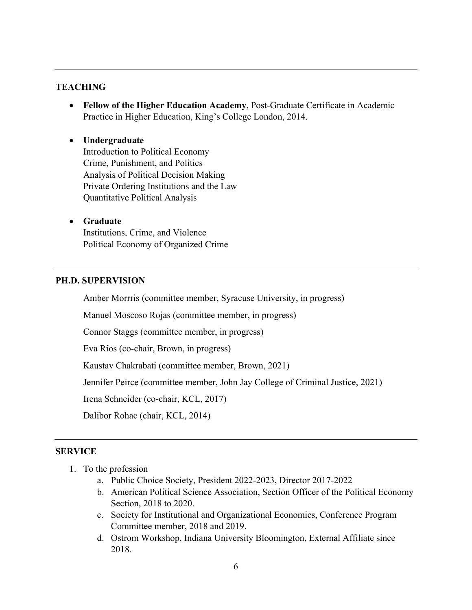#### **TEACHING**

 **Fellow of the Higher Education Academy**, Post-Graduate Certificate in Academic Practice in Higher Education, King's College London, 2014.

# **Undergraduate** Introduction to Political Economy Crime, Punishment, and Politics Analysis of Political Decision Making Private Ordering Institutions and the Law Quantitative Political Analysis

 **Graduate** Institutions, Crime, and Violence Political Economy of Organized Crime

#### **PH.D. SUPERVISION**

Amber Morrris (committee member, Syracuse University, in progress)

Manuel Moscoso Rojas (committee member, in progress)

Connor Staggs (committee member, in progress)

Eva Rios (co-chair, Brown, in progress)

Kaustav Chakrabati (committee member, Brown, 2021)

Jennifer Peirce (committee member, John Jay College of Criminal Justice, 2021)

Irena Schneider (co-chair, KCL, 2017)

Dalibor Rohac (chair, KCL, 2014)

#### **SERVICE**

- 1. To the profession
	- a. Public Choice Society, President 2022-2023, Director 2017-2022
	- b. American Political Science Association, Section Officer of the Political Economy Section, 2018 to 2020.
	- c. Society for Institutional and Organizational Economics, Conference Program Committee member, 2018 and 2019.
	- d. Ostrom Workshop, Indiana University Bloomington, External Affiliate since 2018.